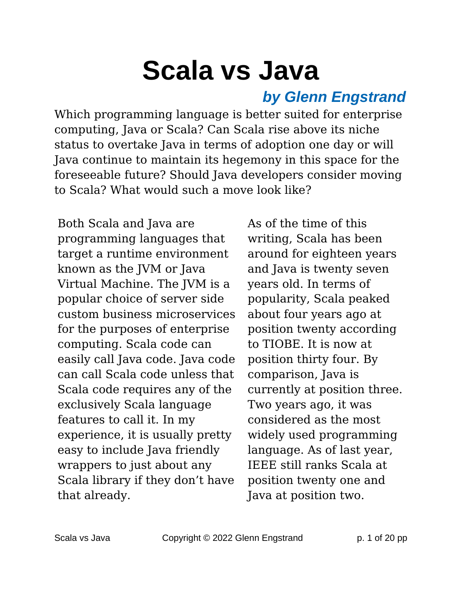# **Scala vs Java**

#### *by Glenn Engstrand*

Which programming language is better suited for enterprise computing, Java or Scala? Can Scala rise above its niche status to overtake Java in terms of adoption one day or will Java continue to maintain its hegemony in this space for the foreseeable future? Should Java developers consider moving to Scala? What would such a move look like?

Both Scala and Java are programming languages that target a runtime environment known as the JVM or Java Virtual Machine. The JVM is a popular choice of server side custom business microservices for the purposes of enterprise computing. Scala code can easily call Java code. Java code can call Scala code unless that Scala code requires any of the exclusively Scala language features to call it. In my experience, it is usually pretty easy to include Java friendly wrappers to just about any Scala library if they don't have that already.

As of the time of this writing, Scala has been around for eighteen years and Java is twenty seven years old. In terms of popularity, Scala peaked about four years ago at position twenty according to TIOBE. It is now at position thirty four. By comparison, Java is currently at position three. Two years ago, it was considered as the most widely used programming language. As of last year, IEEE still ranks Scala at position twenty one and Java at position two.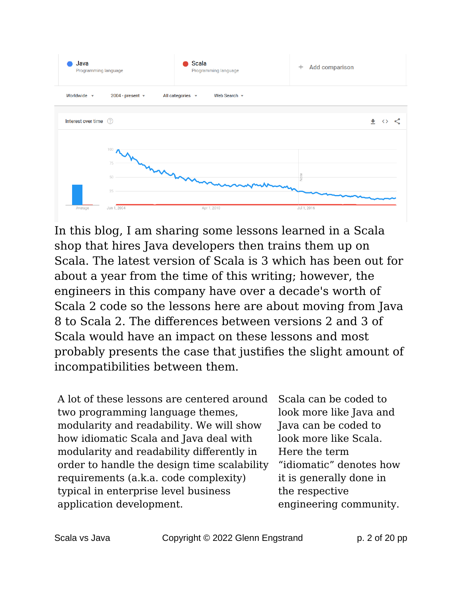

In this blog, I am sharing some lessons learned in a Scala shop that hires Java developers then trains them up on Scala. The latest version of Scala is 3 which has been out for about a year from the time of this writing; however, the engineers in this company have over a decade's worth of Scala 2 code so the lessons here are about moving from Java 8 to Scala 2. The differences between versions 2 and 3 of Scala would have an impact on these lessons and most probably presents the case that justifies the slight amount of incompatibilities between them.

A lot of these lessons are centered around two programming language themes, modularity and readability. We will show how idiomatic Scala and Java deal with modularity and readability differently in order to handle the design time scalability requirements (a.k.a. code complexity) typical in enterprise level business application development.

Scala can be coded to look more like Java and Java can be coded to look more like Scala. Here the term "idiomatic" denotes how it is generally done in the respective engineering community.

Scala vs Java **Copyright © 2022 Glenn Engstrand** p. 2 of 20 pp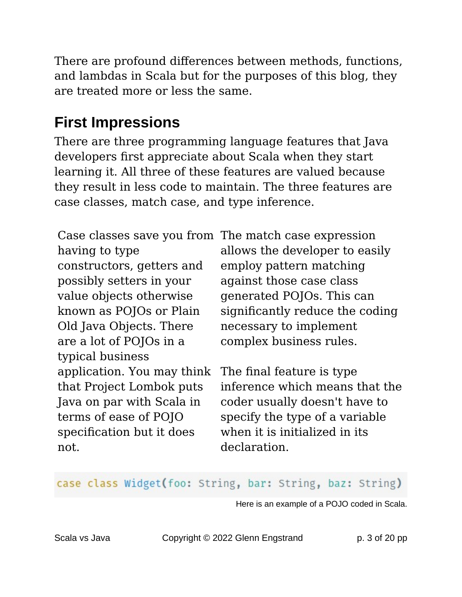There are profound differences between methods, functions, and lambdas in Scala but for the purposes of this blog, they are treated more or less the same.

#### **First Impressions**

There are three programming language features that Java developers first appreciate about Scala when they start learning it. All three of these features are valued because they result in less code to maintain. The three features are case classes, match case, and type inference.

having to type constructors, getters and possibly setters in your value objects otherwise known as POJOs or Plain Old Java Objects. There are a lot of POJOs in a typical business application. You may think that Project Lombok puts Java on par with Scala in terms of ease of POJO specification but it does not.

Case classes save you from The match case expression allows the developer to easily employ pattern matching against those case class generated POJOs. This can significantly reduce the coding necessary to implement complex business rules.

> The final feature is type inference which means that the coder usually doesn't have to specify the type of a variable when it is initialized in its declaration.

#### case class Widget(foo: String, bar: String, baz: String)

Here is an example of a POJO coded in Scala.

Scala vs Java **Copyright © 2022 Glenn Engstrand** p. 3 of 20 pp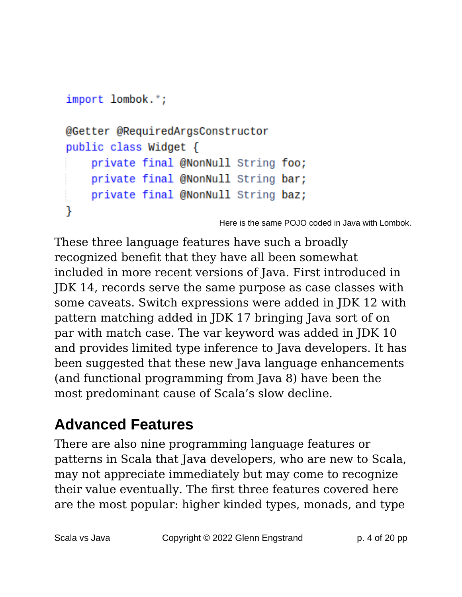```
import lombok.*;
@Getter @RequiredArgsConstructor
public class Widget {
    private final @NonNull String foo;
    private final @NonNull String bar;
    private final @NonNull String baz;
ł
```
Here is the same POJO coded in Java with Lombok.

These three language features have such a broadly recognized benefit that they have all been somewhat included in more recent versions of Java. First introduced in JDK 14, records serve the same purpose as case classes with some caveats. Switch expressions were added in JDK 12 with pattern matching added in JDK 17 bringing Java sort of on par with match case. The var keyword was added in JDK 10 and provides limited type inference to Java developers. It has been suggested that these new Java language enhancements (and functional programming from Java 8) have been the most predominant cause of Scala's slow decline.

#### **Advanced Features**

There are also nine programming language features or patterns in Scala that Java developers, who are new to Scala, may not appreciate immediately but may come to recognize their value eventually. The first three features covered here are the most popular: higher kinded types, monads, and type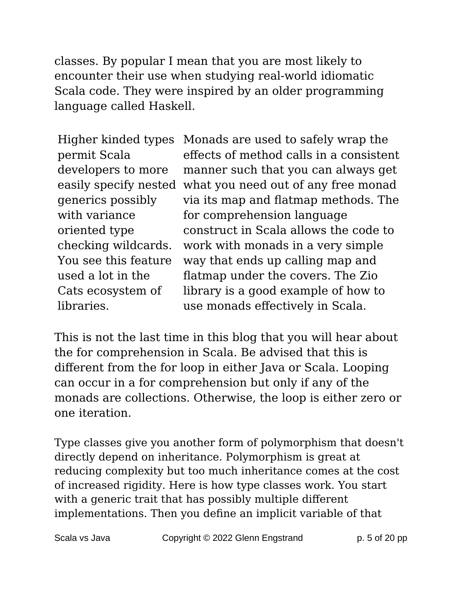classes. By popular I mean that you are most likely to encounter their use when studying real-world idiomatic Scala code. They were inspired by an older programming language called Haskell.

Higher kinded types permit Scala developers to more generics possibly with variance oriented type checking wildcards. You see this feature used a lot in the Cats ecosystem of libraries.

easily specify nested what you need out of any free monad Monads are used to safely wrap the effects of method calls in a consistent manner such that you can always get via its map and flatmap methods. The for comprehension language construct in Scala allows the code to work with monads in a very simple way that ends up calling map and flatmap under the covers. The Zio library is a good example of how to use monads effectively in Scala.

This is not the last time in this blog that you will hear about the for comprehension in Scala. Be advised that this is different from the for loop in either Java or Scala. Looping can occur in a for comprehension but only if any of the monads are collections. Otherwise, the loop is either zero or one iteration.

Type classes give you another form of polymorphism that doesn't directly depend on inheritance. Polymorphism is great at reducing complexity but too much inheritance comes at the cost of increased rigidity. Here is how type classes work. You start with a generic trait that has possibly multiple different implementations. Then you define an implicit variable of that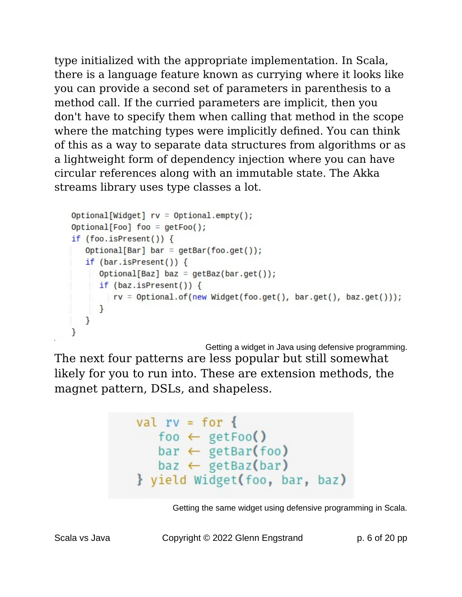type initialized with the appropriate implementation. In Scala, there is a language feature known as currying where it looks like you can provide a second set of parameters in parenthesis to a method call. If the curried parameters are implicit, then you don't have to specify them when calling that method in the scope where the matching types were implicitly defined. You can think of this as a way to separate data structures from algorithms or as a lightweight form of dependency injection where you can have circular references along with an immutable state. The Akka streams library uses type classes a lot.

```
Optional[Widget] rv = Optional-empty();Optional[Foo] foo = getFoo();
if (foo.isPresent()) {
   Optional[Bar] bar = getBar(foo.get());
   if (bar.isPresent()) {
      Optional[Baz] baz = getBaz(bar.get());
     if (baz.isPresent()) \{rv = Optional.of(new Widget(foo.get(), bar.get(), baz.get()));
     \mathcal{F}}
```
Getting a widget in Java using defensive programming. The next four patterns are less popular but still somewhat likely for you to run into. These are extension methods, the magnet pattern, DSLs, and shapeless.

```
val rv = for \{foo \leftarrow getFoo()
    bar \leftarrow getBar(foo)\mathsf{baz} \leftarrow \mathsf{getBaz}(\mathsf{bar})} yield Widget(foo, bar, baz)
```
Getting the same widget using defensive programming in Scala.

Scala vs Java **Copyright © 2022 Glenn Engstrand** p. 6 of 20 pp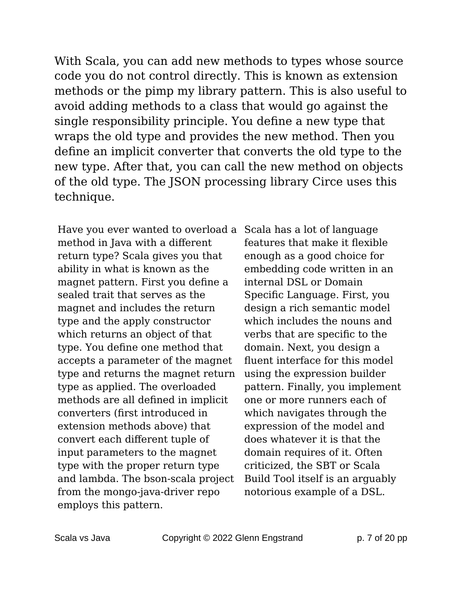With Scala, you can add new methods to types whose source code you do not control directly. This is known as extension methods or the pimp my library pattern. This is also useful to avoid adding methods to a class that would go against the single responsibility principle. You define a new type that wraps the old type and provides the new method. Then you define an implicit converter that converts the old type to the new type. After that, you can call the new method on objects of the old type. The JSON processing library Circe uses this technique.

Have you ever wanted to overload a Scala has a lot of language method in Java with a different return type? Scala gives you that ability in what is known as the magnet pattern. First you define a sealed trait that serves as the magnet and includes the return type and the apply constructor which returns an object of that type. You define one method that accepts a parameter of the magnet type and returns the magnet return type as applied. The overloaded methods are all defined in implicit converters (first introduced in extension methods above) that convert each different tuple of input parameters to the magnet type with the proper return type and lambda. The bson-scala project from the mongo-java-driver repo employs this pattern.

features that make it flexible enough as a good choice for embedding code written in an internal DSL or Domain Specific Language. First, you design a rich semantic model which includes the nouns and verbs that are specific to the domain. Next, you design a fluent interface for this model using the expression builder pattern. Finally, you implement one or more runners each of which navigates through the expression of the model and does whatever it is that the domain requires of it. Often criticized, the SBT or Scala Build Tool itself is an arguably notorious example of a DSL.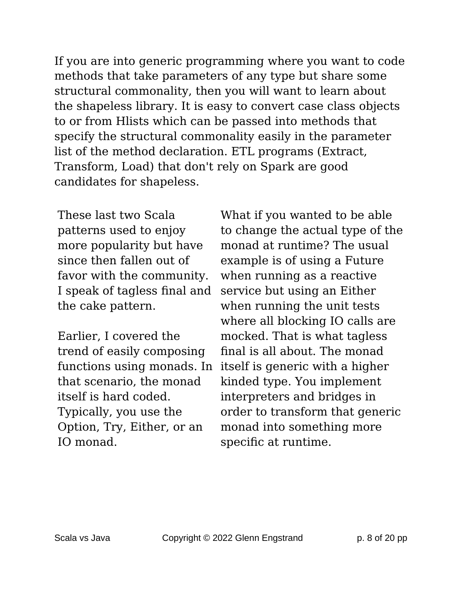If you are into generic programming where you want to code methods that take parameters of any type but share some structural commonality, then you will want to learn about the shapeless library. It is easy to convert case class objects to or from Hlists which can be passed into methods that specify the structural commonality easily in the parameter list of the method declaration. ETL programs (Extract, Transform, Load) that don't rely on Spark are good candidates for shapeless.

These last two Scala patterns used to enjoy more popularity but have since then fallen out of favor with the community. I speak of tagless final and the cake pattern.

Earlier, I covered the trend of easily composing that scenario, the monad itself is hard coded. Typically, you use the Option, Try, Either, or an IO monad.

functions using monads. In itself is generic with a higher What if you wanted to be able to change the actual type of the monad at runtime? The usual example is of using a Future when running as a reactive service but using an Either when running the unit tests where all blocking IO calls are mocked. That is what tagless final is all about. The monad kinded type. You implement interpreters and bridges in order to transform that generic monad into something more specific at runtime.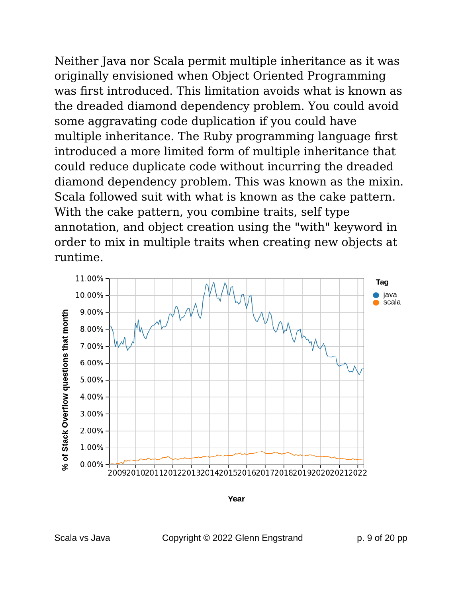Neither Java nor Scala permit multiple inheritance as it was originally envisioned when Object Oriented Programming was first introduced. This limitation avoids what is known as the dreaded diamond dependency problem. You could avoid some aggravating code duplication if you could have multiple inheritance. The Ruby programming language first introduced a more limited form of multiple inheritance that could reduce duplicate code without incurring the dreaded diamond dependency problem. This was known as the mixin. Scala followed suit with what is known as the cake pattern. With the cake pattern, you combine traits, self type annotation, and object creation using the "with" keyword in order to mix in multiple traits when creating new objects at runtime.



Year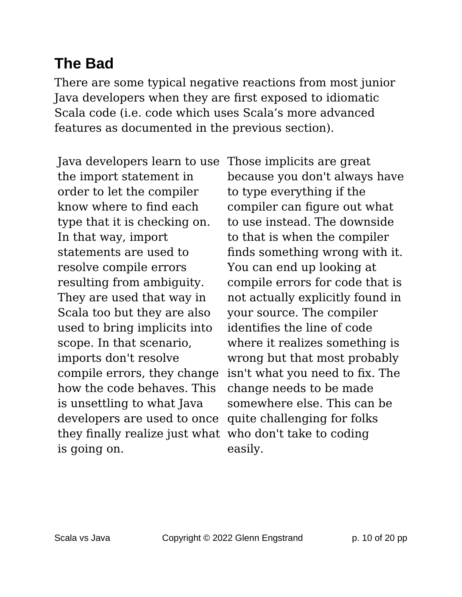#### **The Bad**

There are some typical negative reactions from most junior Java developers when they are first exposed to idiomatic Scala code (i.e. code which uses Scala's more advanced features as documented in the previous section).

Java developers learn to use the import statement in order to let the compiler know where to find each type that it is checking on. In that way, import statements are used to resolve compile errors resulting from ambiguity. They are used that way in Scala too but they are also used to bring implicits into scope. In that scenario, imports don't resolve compile errors, they change how the code behaves. This is unsettling to what Java developers are used to once they finally realize just what who don't take to coding is going on.

Those implicits are great because you don't always have to type everything if the compiler can figure out what to use instead. The downside to that is when the compiler finds something wrong with it. You can end up looking at compile errors for code that is not actually explicitly found in your source. The compiler identifies the line of code where it realizes something is wrong but that most probably isn't what you need to fix. The change needs to be made somewhere else. This can be quite challenging for folks easily.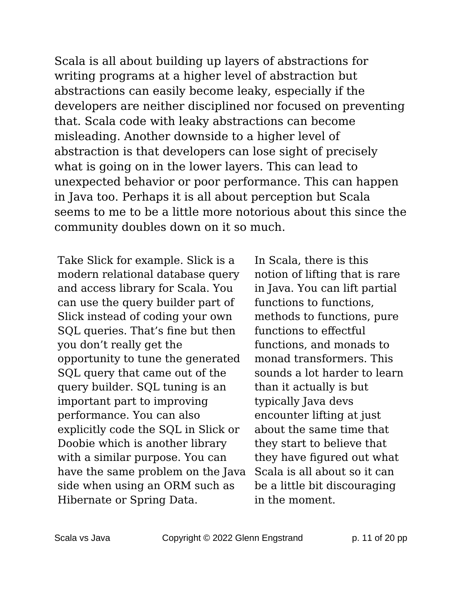Scala is all about building up layers of abstractions for writing programs at a higher level of abstraction but abstractions can easily become leaky, especially if the developers are neither disciplined nor focused on preventing that. Scala code with leaky abstractions can become misleading. Another downside to a higher level of abstraction is that developers can lose sight of precisely what is going on in the lower layers. This can lead to unexpected behavior or poor performance. This can happen in Java too. Perhaps it is all about perception but Scala seems to me to be a little more notorious about this since the community doubles down on it so much.

Take Slick for example. Slick is a modern relational database query and access library for Scala. You can use the query builder part of Slick instead of coding your own SQL queries. That's fine but then you don't really get the opportunity to tune the generated SQL query that came out of the query builder. SQL tuning is an important part to improving performance. You can also explicitly code the SQL in Slick or Doobie which is another library with a similar purpose. You can have the same problem on the Java side when using an ORM such as Hibernate or Spring Data.

In Scala, there is this notion of lifting that is rare in Java. You can lift partial functions to functions, methods to functions, pure functions to effectful functions, and monads to monad transformers. This sounds a lot harder to learn than it actually is but typically Java devs encounter lifting at just about the same time that they start to believe that they have figured out what Scala is all about so it can be a little bit discouraging in the moment.

Scala vs Java **Copyright © 2022 Glenn Engstrand** p. 11 of 20 pp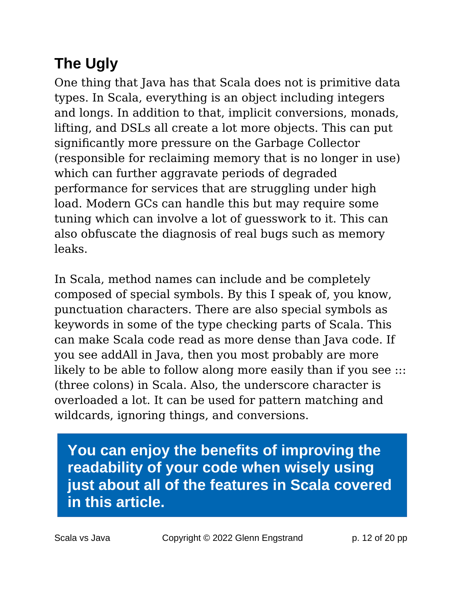## **The Ugly**

One thing that Java has that Scala does not is primitive data types. In Scala, everything is an object including integers and longs. In addition to that, implicit conversions, monads, lifting, and DSLs all create a lot more objects. This can put significantly more pressure on the Garbage Collector (responsible for reclaiming memory that is no longer in use) which can further aggravate periods of degraded performance for services that are struggling under high load. Modern GCs can handle this but may require some tuning which can involve a lot of guesswork to it. This can also obfuscate the diagnosis of real bugs such as memory leaks.

In Scala, method names can include and be completely composed of special symbols. By this I speak of, you know, punctuation characters. There are also special symbols as keywords in some of the type checking parts of Scala. This can make Scala code read as more dense than Java code. If you see addAll in Java, then you most probably are more likely to be able to follow along more easily than if you see  $\ldots$ (three colons) in Scala. Also, the underscore character is overloaded a lot. It can be used for pattern matching and wildcards, ignoring things, and conversions.

**You can enjoy the benefits of improving the readability of your code when wisely using just about all of the features in Scala covered in this article.**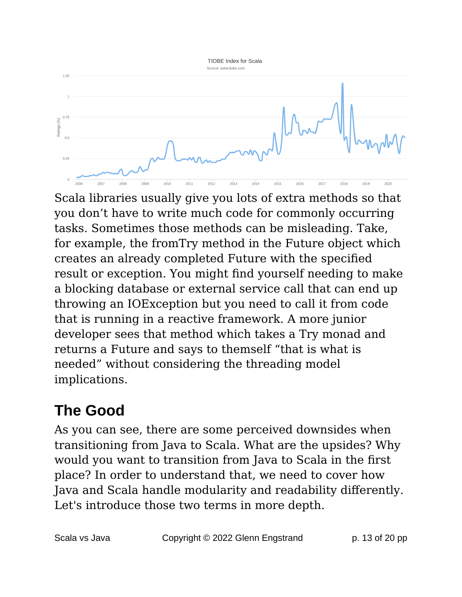

Scala libraries usually give you lots of extra methods so that you don't have to write much code for commonly occurring tasks. Sometimes those methods can be misleading. Take, for example, the fromTry method in the Future object which creates an already completed Future with the specified result or exception. You might find yourself needing to make a blocking database or external service call that can end up throwing an IOException but you need to call it from code that is running in a reactive framework. A more junior developer sees that method which takes a Try monad and returns a Future and says to themself "that is what is needed" without considering the threading model implications.

### **The Good**

As you can see, there are some perceived downsides when transitioning from Java to Scala. What are the upsides? Why would you want to transition from Java to Scala in the first place? In order to understand that, we need to cover how Java and Scala handle modularity and readability differently. Let's introduce those two terms in more depth.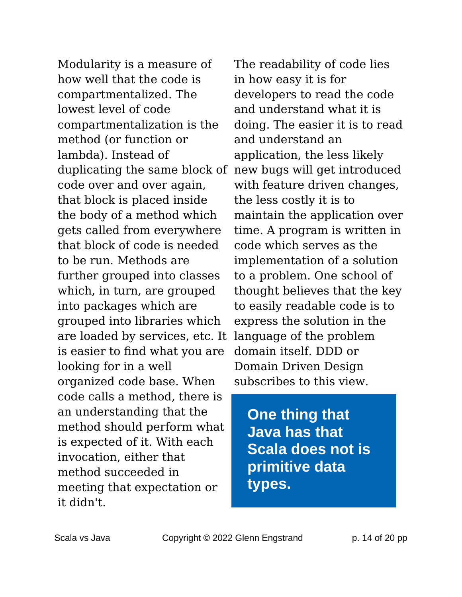Modularity is a measure of how well that the code is compartmentalized. The lowest level of code compartmentalization is the method (or function or lambda). Instead of duplicating the same block of new bugs will get introduced code over and over again, that block is placed inside the body of a method which gets called from everywhere that block of code is needed to be run. Methods are further grouped into classes which, in turn, are grouped into packages which are grouped into libraries which are loaded by services, etc. It is easier to find what you are looking for in a well organized code base. When code calls a method, there is an understanding that the method should perform what is expected of it. With each invocation, either that method succeeded in meeting that expectation or it didn't.

The readability of code lies in how easy it is for developers to read the code and understand what it is doing. The easier it is to read and understand an application, the less likely with feature driven changes, the less costly it is to maintain the application over time. A program is written in code which serves as the implementation of a solution to a problem. One school of thought believes that the key to easily readable code is to express the solution in the language of the problem domain itself. DDD or Domain Driven Design subscribes to this view.

**One thing that Java has that Scala does not is primitive data types.**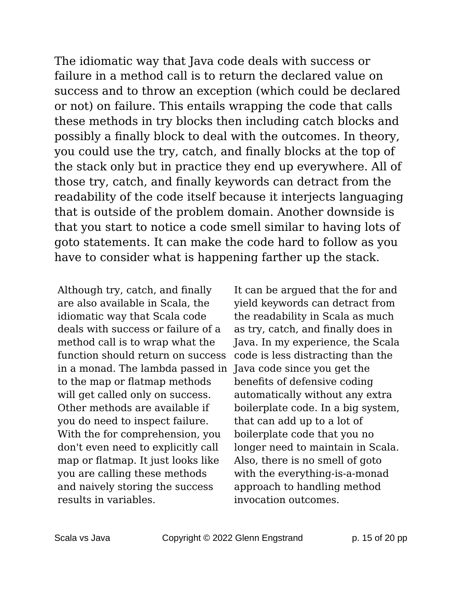The idiomatic way that Java code deals with success or failure in a method call is to return the declared value on success and to throw an exception (which could be declared or not) on failure. This entails wrapping the code that calls these methods in try blocks then including catch blocks and possibly a finally block to deal with the outcomes. In theory, you could use the try, catch, and finally blocks at the top of the stack only but in practice they end up everywhere. All of those try, catch, and finally keywords can detract from the readability of the code itself because it interjects languaging that is outside of the problem domain. Another downside is that you start to notice a code smell similar to having lots of goto statements. It can make the code hard to follow as you have to consider what is happening farther up the stack.

Although try, catch, and finally are also available in Scala, the idiomatic way that Scala code deals with success or failure of a method call is to wrap what the function should return on success in a monad. The lambda passed in Java code since you get the to the map or flatmap methods will get called only on success. Other methods are available if you do need to inspect failure. With the for comprehension, you don't even need to explicitly call map or flatmap. It just looks like you are calling these methods and naively storing the success results in variables.

It can be argued that the for and yield keywords can detract from the readability in Scala as much as try, catch, and finally does in Java. In my experience, the Scala code is less distracting than the benefits of defensive coding automatically without any extra boilerplate code. In a big system, that can add up to a lot of boilerplate code that you no longer need to maintain in Scala. Also, there is no smell of goto with the everything-is-a-monad approach to handling method invocation outcomes.

Scala vs Java **Copyright © 2022 Glenn Engstrand** p. 15 of 20 pp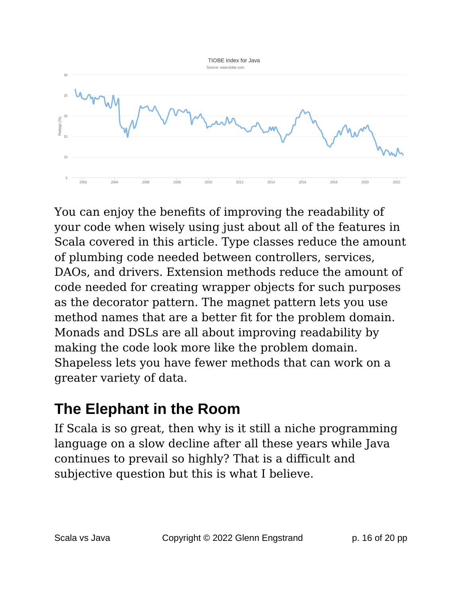

You can enjoy the benefits of improving the readability of your code when wisely using just about all of the features in Scala covered in this article. Type classes reduce the amount of plumbing code needed between controllers, services, DAOs, and drivers. Extension methods reduce the amount of code needed for creating wrapper objects for such purposes as the decorator pattern. The magnet pattern lets you use method names that are a better fit for the problem domain. Monads and DSLs are all about improving readability by making the code look more like the problem domain. Shapeless lets you have fewer methods that can work on a greater variety of data.

#### **The Elephant in the Room**

If Scala is so great, then why is it still a niche programming language on a slow decline after all these years while Java continues to prevail so highly? That is a difficult and subjective question but this is what I believe.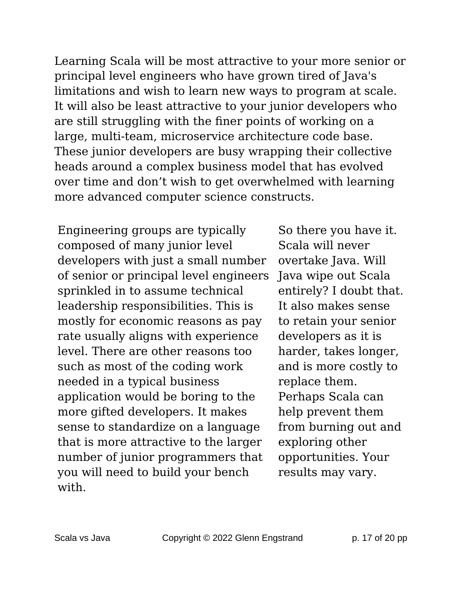Learning Scala will be most attractive to your more senior or principal level engineers who have grown tired of Java's limitations and wish to learn new ways to program at scale. It will also be least attractive to your junior developers who are still struggling with the finer points of working on a large, multi-team, microservice architecture code base. These junior developers are busy wrapping their collective heads around a complex business model that has evolved over time and don't wish to get overwhelmed with learning more advanced computer science constructs.

Engineering groups are typically composed of many junior level developers with just a small number of senior or principal level engineers sprinkled in to assume technical leadership responsibilities. This is mostly for economic reasons as pay rate usually aligns with experience level. There are other reasons too such as most of the coding work needed in a typical business application would be boring to the more gifted developers. It makes sense to standardize on a language that is more attractive to the larger number of junior programmers that you will need to build your bench with.

So there you have it. Scala will never overtake Java. Will Java wipe out Scala entirely? I doubt that. It also makes sense to retain your senior developers as it is harder, takes longer, and is more costly to replace them. Perhaps Scala can help prevent them from burning out and exploring other opportunities. Your results may vary.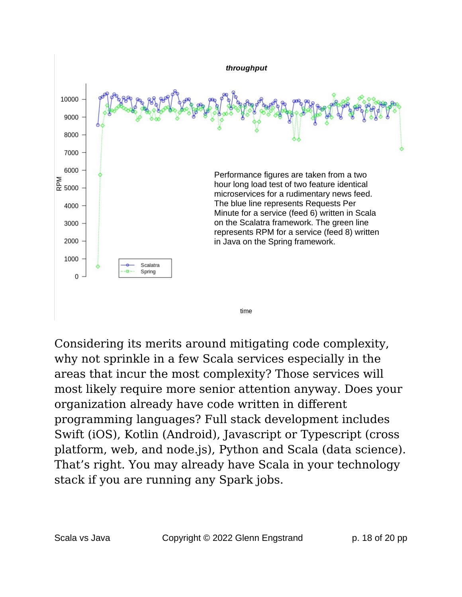

Considering its merits around mitigating code complexity, why not sprinkle in a few Scala services especially in the areas that incur the most complexity? Those services will most likely require more senior attention anyway. Does your organization already have code written in different programming languages? Full stack development includes Swift (iOS), Kotlin (Android), Javascript or Typescript (cross platform, web, and node.js), Python and Scala (data science). That's right. You may already have Scala in your technology stack if you are running any Spark jobs.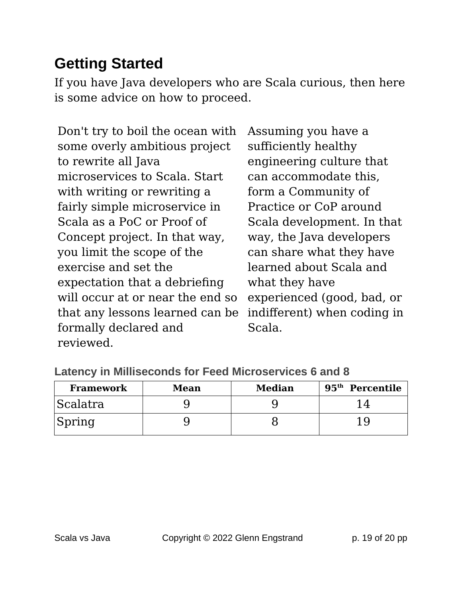#### **Getting Started**

If you have Java developers who are Scala curious, then here is some advice on how to proceed.

Don't try to boil the ocean with some overly ambitious project to rewrite all Java microservices to Scala. Start with writing or rewriting a fairly simple microservice in Scala as a PoC or Proof of Concept project. In that way, you limit the scope of the exercise and set the expectation that a debriefing will occur at or near the end so that any lessons learned can be formally declared and reviewed.

Assuming you have a sufficiently healthy engineering culture that can accommodate this, form a Community of Practice or CoP around Scala development. In that way, the Java developers can share what they have learned about Scala and what they have experienced (good, bad, or indifferent) when coding in Scala.

| <b>Framework</b> | Mean | <b>Median</b> | 95 <sup>th</sup> Percentile |
|------------------|------|---------------|-----------------------------|
| Scalatra         |      |               |                             |
| Spring           |      |               |                             |

**Latency in Milliseconds for Feed Microservices 6 and 8**